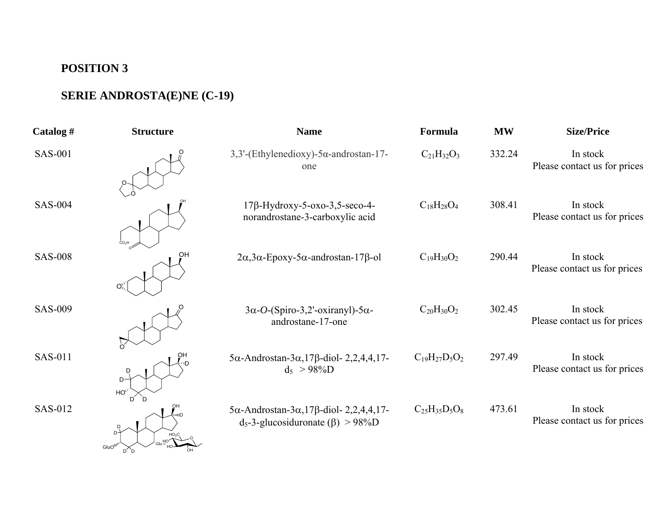## **POSITION 3**

## **SERIE ANDROSTA(E)NE (C-19)**

| Catalog $#$    | <b>Structure</b>         | <b>Name</b>                                                                                                        | Formula              | <b>MW</b> | <b>Size/Price</b>                        |
|----------------|--------------------------|--------------------------------------------------------------------------------------------------------------------|----------------------|-----------|------------------------------------------|
| <b>SAS-001</b> |                          | 3,3'-(Ethylenedioxy)-5α-androstan-17-<br>one                                                                       | $C_{21}H_{32}O_3$    | 332.24    | In stock<br>Please contact us for prices |
| <b>SAS-004</b> |                          | $17\beta$ -Hydroxy-5-oxo-3,5-seco-4-<br>norandrostane-3-carboxylic acid                                            | $C_{18}H_{28}O_4$    | 308.41    | In stock<br>Please contact us for prices |
| <b>SAS-008</b> | OH<br>O                  | $2\alpha$ , $3\alpha$ -Epoxy- $5\alpha$ -androstan- $17\beta$ -ol                                                  | $C_{19}H_{30}O_2$    | 290.44    | In stock<br>Please contact us for prices |
| <b>SAS-009</b> |                          | $3\alpha$ -O-(Spiro-3,2'-oxiranyl)-5 $\alpha$ -<br>androstane-17-one                                               | $C_{20}H_{30}O_2$    | 302.45    | In stock<br>Please contact us for prices |
| <b>SAS-011</b> | $D -$<br>HO <sub>2</sub> | $5\alpha$ -Androstan- $3\alpha$ , 17 $\beta$ -diol- 2, 2, 4, 4, 17-<br>$d_5 > 98\%D$                               | $C_{19}H_{27}D_5O_2$ | 297.49    | In stock<br>Please contact us for prices |
| SAS-012        | GluO <sup>W</sup>        | $5\alpha$ -Androstan- $3\alpha$ , 17 $\beta$ -diol- 2, 2, 4, 4, 17-<br>$d_5$ -3-glucosiduronate ( $\beta$ ) > 98%D | $C_{25}H_{35}D_5O_8$ | 473.61    | In stock<br>Please contact us for prices |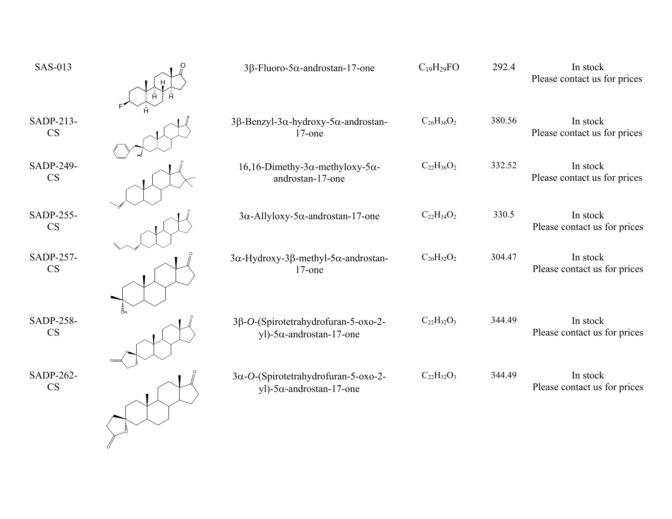| н | $3\beta$ -Fluoro-5 $\alpha$ -androstan-17-one                                   | $C_{19}H_{29}FO$  | 292.4  | In stock<br>Please contact us for prices |
|---|---------------------------------------------------------------------------------|-------------------|--------|------------------------------------------|
|   | $3β$ -Benzyl-3α-hydroxy-5α-androstan-<br>$17$ -one                              | $C_{26}H_{36}O_2$ | 380.56 | In stock<br>Please contact us for prices |
|   | $16, 16$ -Dimethy-3 $\alpha$ -methyloxy-5 $\alpha$ -<br>androstan-17-one        | $C_{22}H_{36}O_2$ | 332.52 | In stock<br>Please contact us for prices |
|   | $3\alpha$ -Allyloxy-5 $\alpha$ -androstan-17-one                                | $C_{22}H_{34}O_2$ | 330.5  | In stock<br>Please contact us for prices |
|   | $3\alpha$ -Hydroxy-3 $\beta$ -methyl-5 $\alpha$ -androstan-<br>$17$ -one        | $C_{20}H_{32}O_2$ | 304.47 | In stock<br>Please contact us for prices |
|   | 3β-O-(Spirotetrahydrofuran-5-oxo-2-<br>yl)- $5\alpha$ -androstan-17-one         | $C_{22}H_{32}O_3$ | 344.49 | In stock<br>Please contact us for prices |
|   | $3\alpha$ -O-(Spirotetrahydrofuran-5-oxo-2-<br>yl)-5 $\alpha$ -androstan-17-one | $C_{22}H_{32}O_3$ | 344.49 | In stock<br>Please contact us for prices |
|   |                                                                                 |                   |        |                                          |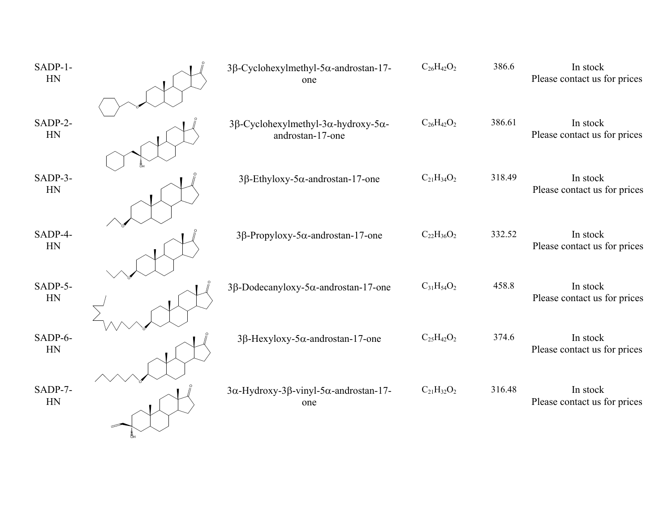| SADP-1-<br>HN | $3\beta$ -Cyclohexylmethyl-5 $\alpha$ -androstan-17-<br>one          | $C_{26}H_{42}O_2$ | 386.6  | In stock<br>Please contact us for prices |
|---------------|----------------------------------------------------------------------|-------------------|--------|------------------------------------------|
| SADP-2-<br>HN | 3β-Cyclohexylmethyl-3α-hydroxy-5α-<br>androstan-17-one               | $C_{26}H_{42}O_2$ | 386.61 | In stock<br>Please contact us for prices |
| SADP-3-<br>HN | $3\beta$ -Ethyloxy-5 $\alpha$ -androstan-17-one                      | $C_{21}H_{34}O_2$ | 318.49 | In stock<br>Please contact us for prices |
| SADP-4-<br>HN | 3β-Propyloxy-5α-androstan-17-one                                     | $C_{22}H_{36}O_2$ | 332.52 | In stock<br>Please contact us for prices |
| SADP-5-<br>HN | $3\beta$ -Dodecanyloxy-5 $\alpha$ -androstan-17-one                  | $C_{31}H_{54}O_2$ | 458.8  | In stock<br>Please contact us for prices |
| SADP-6-<br>HN | $3\beta$ -Hexyloxy-5 $\alpha$ -androstan-17-one                      | $C_{25}H_{42}O_2$ | 374.6  | In stock<br>Please contact us for prices |
| SADP-7-<br>HN | $3\alpha$ -Hydroxy-3 $\beta$ -vinyl-5 $\alpha$ -androstan-17-<br>one | $C_{21}H_{32}O_2$ | 316.48 | In stock<br>Please contact us for prices |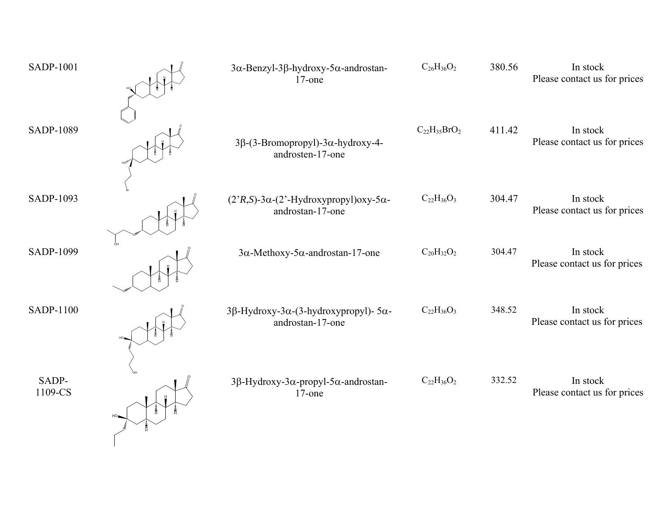| <b>SADP-1001</b> | 3α-Benzyl-3β-hydroxy-5α-androstan-<br>$17$ -one                                                    | $C_{26}H_{36}O_2$   | 380.56 | In stock<br>Please contact us for prices |
|------------------|----------------------------------------------------------------------------------------------------|---------------------|--------|------------------------------------------|
| SADP-1089        | $3\beta$ -(3-Bromopropyl)-3 $\alpha$ -hydroxy-4-<br>androsten-17-one                               | $C_{22}H_{35}BrO_2$ | 411.42 | In stock<br>Please contact us for prices |
| SADP-1093        | $(2^{\prime}R, S)$ -3 $\alpha$ - $(2^{\prime}$ -Hydroxypropyl)oxy-5 $\alpha$ -<br>androstan-17-one | $C_{22}H_{36}O_3$   | 304.47 | In stock<br>Please contact us for prices |
| SADP-1099        | $3\alpha$ -Methoxy-5 $\alpha$ -androstan-17-one                                                    | $C_{20}H_{32}O_2$   | 304.47 | In stock<br>Please contact us for prices |
| <b>SADP-1100</b> | 3β-Hydroxy-3α-(3-hydroxypropyl)- $5\alpha$ -<br>androstan-17-one                                   | $C_{22}H_{36}O_3$   | 348.52 | In stock<br>Please contact us for prices |
| SADP-<br>1109-CS | 3β-Hydroxy-3α-propyl-5α-androstan-<br>$17$ -one                                                    | $C_{22}H_{36}O_2$   | 332.52 | In stock<br>Please contact us for prices |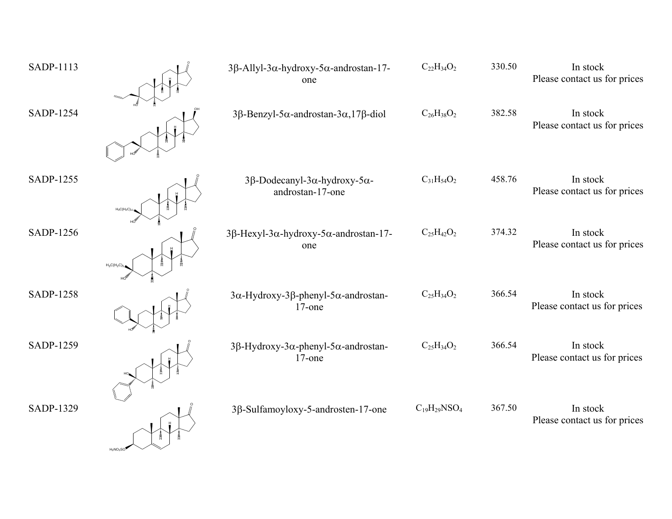| SADP-1113        |              | $3\beta$ -Allyl-3 $\alpha$ -hydroxy-5 $\alpha$ -androstan-17-<br>one     | $C_{22}H_{34}O_2$   | 330.50 | In stock<br>Please contact us for prices |
|------------------|--------------|--------------------------------------------------------------------------|---------------------|--------|------------------------------------------|
| SADP-1254        |              | $3\beta$ -Benzyl-5 $\alpha$ -androstan-3 $\alpha$ ,17 $\beta$ -diol      | $C_{26}H_{38}O_2$   | 382.58 | In stock<br>Please contact us for prices |
| <b>SADP-1255</b> | $H_3C(H_2C)$ | 3β-Dodecanyl-3α-hydroxy-5α-<br>androstan-17-one                          | $C_{31}H_{54}O_2$   | 458.76 | In stock<br>Please contact us for prices |
| SADP-1256        | $H_3C(H_2C)$ | $3\beta$ -Hexyl-3 $\alpha$ -hydroxy-5 $\alpha$ -androstan-17-<br>one     | $C_{25}H_{42}O_2$   | 374.32 | In stock<br>Please contact us for prices |
| <b>SADP-1258</b> |              | $3\alpha$ -Hydroxy-3 $\beta$ -phenyl-5 $\alpha$ -androstan-<br>$17$ -one | $C_{25}H_{34}O_2$   | 366.54 | In stock<br>Please contact us for prices |
| SADP-1259        |              | 3β-Hydroxy-3α-phenyl-5α-androstan-<br>$17$ -one                          | $C_{25}H_{34}O_2$   | 366.54 | In stock<br>Please contact us for prices |
| SADP-1329        |              | 3β-Sulfamoyloxy-5-androsten-17-one                                       | $C_{19}H_{29}NSO_4$ | 367.50 | In stock<br>Please contact us for prices |

H2NO2SO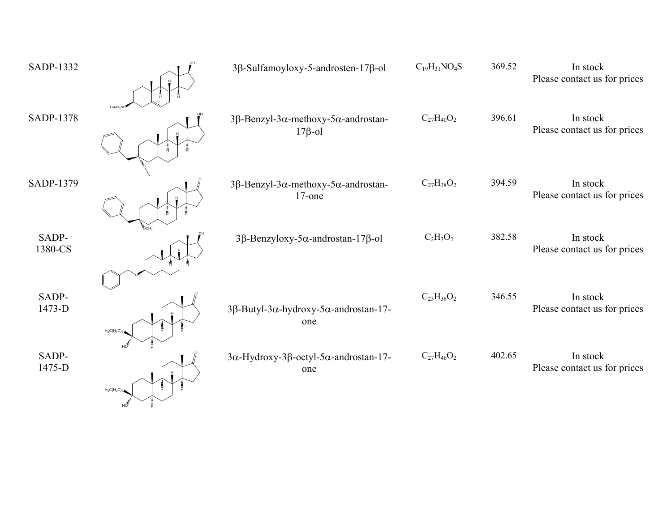| SADP-1332        |                   | 3β-Sulfamoyloxy-5-androsten-17β-ol                     | $C_{19}H_{31}NO_4S$ | 369.52 | In stock<br>Please contact us for prices |
|------------------|-------------------|--------------------------------------------------------|---------------------|--------|------------------------------------------|
| SADP-1378        | $H_2NO_2S$        | $3β$ -Benzyl-3α-methoxy-5α-androstan-<br>$17\beta$ -ol | $C_{27}H_{40}O_2$   | 396.61 | In stock<br>Please contact us for prices |
| SADP-1379        |                   | $3β$ -Benzyl-3α-methoxy-5α-androstan-<br>$17$ -one     | $C_{27}H_{38}O_2$   | 394.59 | In stock<br>Please contact us for prices |
| SADP-<br>1380-CS |                   | $3β$ -Benzyloxy-5α-androstan-17β-ol                    | $C_2H_3O_2$         | 382.58 | In stock<br>Please contact us for prices |
| SADP-<br>1473-D  | $H_3C(H_2C)_3$    | 3β-Butyl-3α-hydroxy-5α-androstan-17-<br>one            | $C_{23}H_{38}O_2$   | 346.55 | In stock<br>Please contact us for prices |
| SADP-<br>1475-D  | $H_3C(H_2C)_{74}$ | 3α-Hydroxy-3β-octyl-5α-androstan-17-<br>one            | $C_{27}H_{46}O_2$   | 402.65 | In stock<br>Please contact us for prices |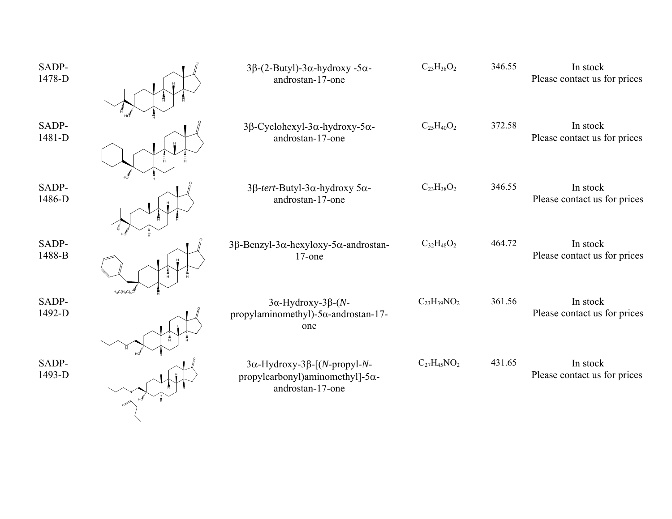| SADP-<br>1478-D |                 | $3\beta$ -(2-Butyl)-3 $\alpha$ -hydroxy -5 $\alpha$ -<br>androstan-17-one                      | $C_{23}H_{38}O_2$  | 346.55 | In stock<br>Please contact us for prices |
|-----------------|-----------------|------------------------------------------------------------------------------------------------|--------------------|--------|------------------------------------------|
| SADP-<br>1481-D |                 | $3β$ -Cyclohexyl-3α-hydroxy-5α-<br>androstan-17-one                                            | $C_{25}H_{40}O_2$  | 372.58 | In stock<br>Please contact us for prices |
| SADP-<br>1486-D |                 | 3β-tert-Butyl-3α-hydroxy 5α-<br>androstan-17-one                                               | $C_{23}H_{38}O_2$  | 346.55 | In stock<br>Please contact us for prices |
| SADP-<br>1488-B | $H_3C(H_2C)_5C$ | $3β$ -Benzyl-3α-hexyloxy-5α-androstan-<br>$17$ -one                                            | $C_{32}H_{48}O_2$  | 464.72 | In stock<br>Please contact us for prices |
| SADP-<br>1492-D |                 | $3\alpha$ -Hydroxy-3 $\beta$ -(N-<br>propylaminomethyl)- $5\alpha$ -androstan-17-<br>one       | $C_{23}H_{39}NO_2$ | 361.56 | In stock<br>Please contact us for prices |
| SADP-<br>1493-D |                 | $3α$ -Hydroxy-3β-[(N-propyl-N-<br>propylcarbonyl)aminomethyl]- $5\alpha$ -<br>androstan-17-one | $C_{27}H_{45}NO_2$ | 431.65 | In stock<br>Please contact us for prices |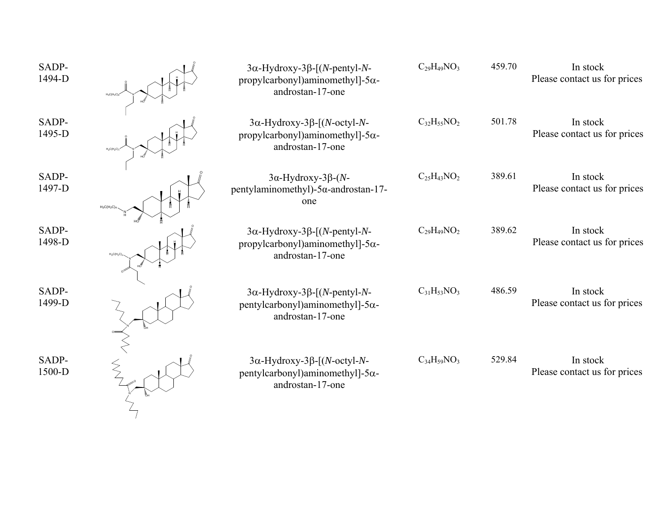| SADP-<br>1494-D | $3\alpha$ -Hydroxy-3 $\beta$ -[(N-pentyl-N-<br>propylcarbonyl)aminomethyl]- $5\alpha$ -<br>androstan-17-one | $C_{29}H_{49}NO_3$ | 459.70 | In stock<br>Please contact us for prices |
|-----------------|-------------------------------------------------------------------------------------------------------------|--------------------|--------|------------------------------------------|
| SADP-<br>1495-D | $3\alpha$ -Hydroxy-3 $\beta$ -[(N-octyl-N-<br>propylcarbonyl)aminomethyl]- $5\alpha$ -<br>androstan-17-one  | $C_{32}H_{55}NO_2$ | 501.78 | In stock<br>Please contact us for prices |
| SADP-<br>1497-D | $3\alpha$ -Hydroxy-3 $\beta$ -(N-<br>pentylaminomethyl)- $5\alpha$ -androstan-17-<br>one                    | $C_{25}H_{43}NO_2$ | 389.61 | In stock<br>Please contact us for prices |
| SADP-<br>1498-D | $3\alpha$ -Hydroxy-3 $\beta$ -[(N-pentyl-N-<br>propylcarbonyl)aminomethyl]- $5\alpha$ -<br>androstan-17-one | $C_{29}H_{49}NO_2$ | 389.62 | In stock<br>Please contact us for prices |
| SADP-<br>1499-D | $3\alpha$ -Hydroxy-3 $\beta$ -[(N-pentyl-N-<br>pentylcarbonyl)aminomethyl]- $5\alpha$ -<br>androstan-17-one | $C_{31}H_{53}NO_3$ | 486.59 | In stock<br>Please contact us for prices |
| SADP-<br>1500-D | $3\alpha$ -Hydroxy-3 $\beta$ -[(N-octyl-N-<br>pentylcarbonyl)aminomethyl]- $5\alpha$ -<br>androstan-17-one  | $C_{34}H_{59}NO_3$ | 529.84 | In stock<br>Please contact us for prices |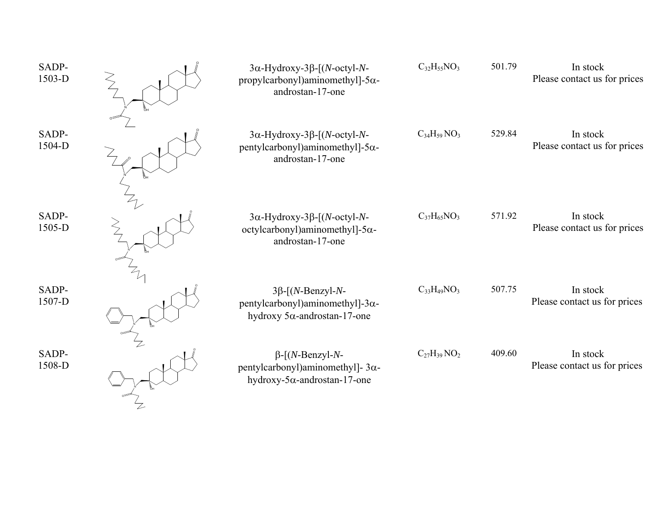| SADP-<br>1503-D | $3\alpha$ -Hydroxy-3 $\beta$ -[(N-octyl-N-<br>propylcarbonyl)aminomethyl]- $5\alpha$ -<br>androstan-17-one | $C_{32}H_{55}NO_3$ | 501.79 | In stock<br>Please contact us for prices |
|-----------------|------------------------------------------------------------------------------------------------------------|--------------------|--------|------------------------------------------|
| SADP-<br>1504-D | $3\alpha$ -Hydroxy-3 $\beta$ -[(N-octyl-N-<br>pentylcarbonyl)aminomethyl]- $5\alpha$ -<br>androstan-17-one | $C_{34}H_{59}NO_3$ | 529.84 | In stock<br>Please contact us for prices |
| SADP-<br>1505-D | $3\alpha$ -Hydroxy-3 $\beta$ -[(N-octyl-N-<br>octylcarbonyl)aminomethyl]- $5\alpha$ -<br>androstan-17-one  | $C_{37}H_{65}NO_3$ | 571.92 | In stock<br>Please contact us for prices |
| SADP-<br>1507-D | $3\beta$ -[(N-Benzyl-N-<br>pentylcarbonyl)aminomethyl]- $3\alpha$ -<br>hydroxy $5\alpha$ -androstan-17-one | $C_{33}H_{49}NO_3$ | 507.75 | In stock<br>Please contact us for prices |
| SADP-<br>1508-D | $\beta$ -[(N-Benzyl-N-<br>pentylcarbonyl)aminomethyl]- $3\alpha$ -<br>hydroxy-5 $\alpha$ -androstan-17-one | $C_{27}H_{39}NO_2$ | 409.60 | In stock<br>Please contact us for prices |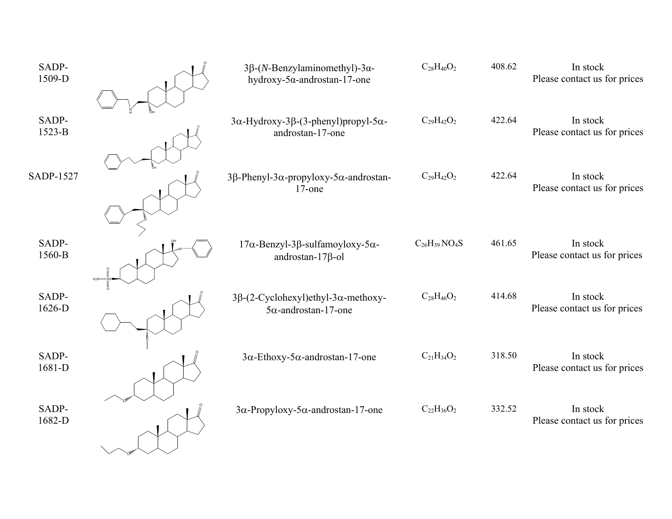| SADP-<br>1509-D  | 3β-(N-Benzylaminomethyl)-3α-<br>hydroxy-5 $\alpha$ -androstan-17-one                | $C_{28}H_{40}O_2$   | 408.62 | In stock<br>Please contact us for prices |
|------------------|-------------------------------------------------------------------------------------|---------------------|--------|------------------------------------------|
| SADP-            | $3\alpha$ -Hydroxy-3 $\beta$ -(3-phenyl)propyl-5 $\alpha$ -                         | $C_{29}H_{42}O_2$   | 422.64 | In stock                                 |
| $1523-B$         | androstan-17-one                                                                    |                     |        | Please contact us for prices             |
| <b>SADP-1527</b> | 3β-Phenyl-3α-propyloxy-5α-androstan-<br>$17$ -one                                   | $C_{29}H_{42}O_2$   | 422.64 | In stock<br>Please contact us for prices |
| SADP-<br>1560-B  | $17\alpha$ -Benzyl-3 $\beta$ -sulfamoyloxy-5 $\alpha$ -<br>androstan- $17\beta$ -ol | $C_{26}H_{39}NO_4S$ | 461.65 | In stock<br>Please contact us for prices |
| SADP-<br>1626-D  | $3\beta$ -(2-Cyclohexyl)ethyl-3 $\alpha$ -methoxy-<br>$5\alpha$ -androstan-17-one   | $C_{28}H_{46}O_2$   | 414.68 | In stock<br>Please contact us for prices |
| SADP-<br>1681-D  | $3\alpha$ -Ethoxy-5 $\alpha$ -androstan-17-one                                      | $C_{21}H_{34}O_2$   | 318.50 | In stock<br>Please contact us for prices |
| SADP-<br>1682-D  | $3\alpha$ -Propyloxy-5 $\alpha$ -androstan-17-one                                   | $C_{22}H_{36}O_2$   | 332.52 | In stock<br>Please contact us for prices |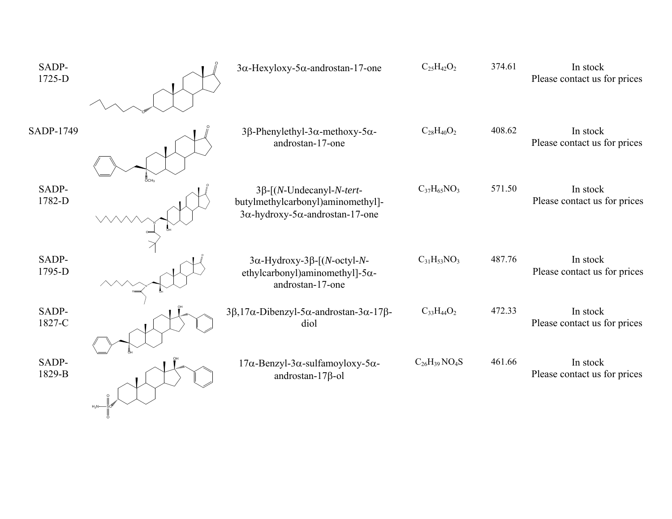| SADP-<br>1725-D |         | $3\alpha$ -Hexyloxy-5 $\alpha$ -androstan-17-one                                                                        | $C_{25}H_{42}O_2$   | 374.61 | In stock<br>Please contact us for prices |
|-----------------|---------|-------------------------------------------------------------------------------------------------------------------------|---------------------|--------|------------------------------------------|
| SADP-1749       |         | 3β-Phenylethyl-3α-methoxy-5α-<br>androstan-17-one                                                                       | $C_{28}H_{40}O_2$   | 408.62 | In stock<br>Please contact us for prices |
| SADP-<br>1782-D |         | $3\beta$ -[(N-Undecanyl-N-tert-<br>butylmethylcarbonyl)aminomethyl]-<br>$3\alpha$ -hydroxy-5 $\alpha$ -androstan-17-one | $C_{37}H_{65}NO_3$  | 571.50 | In stock<br>Please contact us for prices |
| SADP-<br>1795-D |         | $3\alpha$ -Hydroxy-3 $\beta$ -[(N-octyl-N-<br>ethylcarbonyl)aminomethyl]-5α-<br>androstan-17-one                        | $C_{31}H_{53}NO_3$  | 487.76 | In stock<br>Please contact us for prices |
| SADP-<br>1827-C |         | $3\beta$ , 17 $\alpha$ -Dibenzyl-5 $\alpha$ -androstan-3 $\alpha$ -17 $\beta$ -<br>diol                                 | $C_{33}H_{44}O_2$   | 472.33 | In stock<br>Please contact us for prices |
| SADP-<br>1829-B | $H_2N-$ | $17\alpha$ -Benzyl-3 $\alpha$ -sulfamoyloxy-5 $\alpha$ -<br>androstan- $17\beta$ -ol                                    | $C_{26}H_{39}NO_4S$ | 461.66 | In stock<br>Please contact us for prices |

O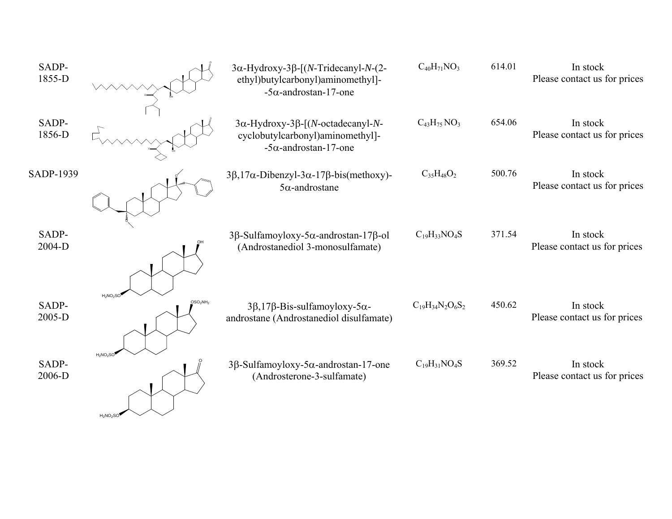| SADP-<br>1855-D |                                                 | $3\alpha$ -Hydroxy-3 $\beta$ -[(N-Tridecanyl-N-(2-<br>ethyl)butylcarbonyl)aminomethyl]-<br>$-5\alpha$ -androstan-17-one | $C_{40}H_{71}NO_3$      | 614.01 | In stock<br>Please contact us for prices |
|-----------------|-------------------------------------------------|-------------------------------------------------------------------------------------------------------------------------|-------------------------|--------|------------------------------------------|
| SADP-<br>1856-D |                                                 | $3\alpha$ -Hydroxy-3 $\beta$ -[(N-octadecanyl-N-<br>cyclobutylcarbonyl)aminomethyl]-<br>$-5\alpha$ -androstan-17-one    | $C_{43}H_{75}NO_3$      | 654.06 | In stock<br>Please contact us for prices |
| SADP-1939       |                                                 | $3\beta$ , 17 $\alpha$ -Dibenzyl-3 $\alpha$ -17 $\beta$ -bis(methoxy)-<br>$5\alpha$ -androstane                         | $C_{35}H_{48}O_2$       | 500.76 | In stock<br>Please contact us for prices |
| SADP-<br>2004-D |                                                 | 3β-Sulfamoyloxy-5α-androstan-17β-ol<br>(Androstanediol 3-monosulfamate)                                                 | $C_{19}H_{33}NO_4S$     | 371.54 | In stock<br>Please contact us for prices |
| SADP-<br>2005-D | $H_2NO_2SC$<br>OSO <sub>2</sub> NH <sub>2</sub> | $3\beta$ , 17 $\beta$ -Bis-sulfamoyloxy-5 $\alpha$ -<br>androstane (Androstanediol disulfamate)                         | $C_{19}H_{34}N_2O_6S_2$ | 450.62 | In stock<br>Please contact us for prices |
| SADP-<br>2006-D | $H_2NO_2SC$<br>$H_2NO_2SO$                      | $3\beta$ -Sulfamoyloxy-5 $\alpha$ -androstan-17-one<br>(Androsterone-3-sulfamate)                                       | $C_{19}H_{31}NO_4S$     | 369.52 | In stock<br>Please contact us for prices |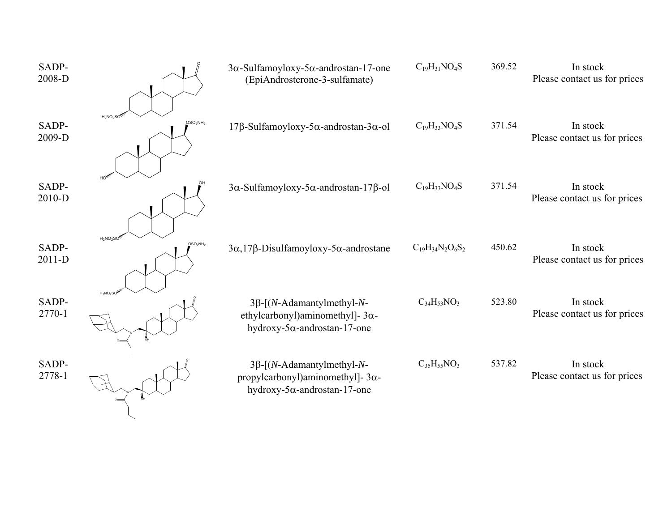| SADP-<br>2008-D   |                                                 | $3\alpha$ -Sulfamoyloxy-5 $\alpha$ -androstan-17-one<br>(EpiAndrosterone-3-sulfamate)                                | $C_{19}H_{31}NO_4S$     | 369.52 | In stock<br>Please contact us for prices |
|-------------------|-------------------------------------------------|----------------------------------------------------------------------------------------------------------------------|-------------------------|--------|------------------------------------------|
| SADP-<br>2009-D   | $H_2NO_2SO$<br>OSO <sub>2</sub> NH <sub>2</sub> | $17\beta$ -Sulfamoyloxy-5 $\alpha$ -androstan-3 $\alpha$ -ol                                                         | $C_{19}H_{33}NO_4S$     | 371.54 | In stock<br>Please contact us for prices |
| SADP-<br>2010-D   |                                                 | $3\alpha$ -Sulfamoyloxy-5 $\alpha$ -androstan-17 $\beta$ -ol                                                         | $C_{19}H_{33}NO_4S$     | 371.54 | In stock<br>Please contact us for prices |
| SADP-<br>$2011-D$ | $H_2NO_2SO$<br>OSO <sub>2</sub> NH <sub>2</sub> | $3\alpha$ , 17 $\beta$ -Disulfamoyloxy-5 $\alpha$ -androstane                                                        | $C_{19}H_{34}N_2O_6S_2$ | 450.62 | In stock<br>Please contact us for prices |
| SADP-<br>2770-1   | $H_2NO_2SC$                                     | $3\beta$ -[(N-Adamantylmethyl-N-<br>ethylcarbonyl)aminomethyl]- $3\alpha$ -<br>hydroxy-5 $\alpha$ -androstan-17-one  | $C_{34}H_{53}NO_3$      | 523.80 | In stock<br>Please contact us for prices |
| SADP-<br>2778-1   |                                                 | $3\beta$ -[(N-Adamantylmethyl-N-<br>propylcarbonyl)aminomethyl]- $3\alpha$ -<br>hydroxy-5 $\alpha$ -androstan-17-one | $C_{35}H_{55}NO_3$      | 537.82 | In stock<br>Please contact us for prices |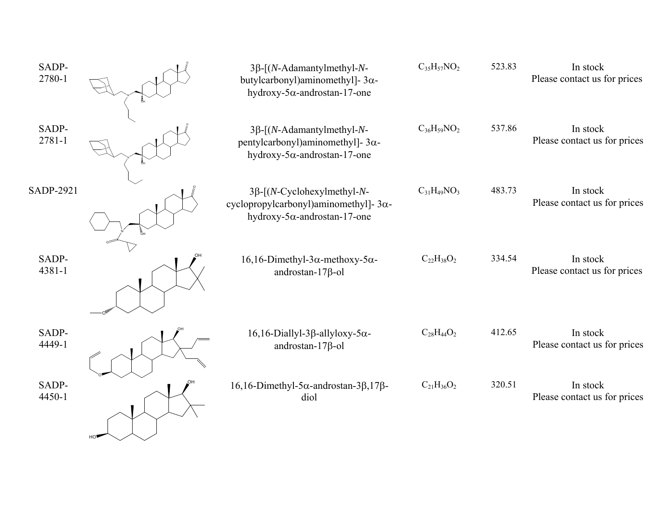| SADP-<br>2780-1  | $3\beta$ -[(N-Adamantylmethyl-N-<br>butylcarbonyl)aminomethyl]- $3\alpha$ -<br>hydroxy-5 $\alpha$ -androstan-17-one        | $C_{35}H_{57}NO_2$ | 523.83 | In stock<br>Please contact us for prices |
|------------------|----------------------------------------------------------------------------------------------------------------------------|--------------------|--------|------------------------------------------|
| SADP-<br>2781-1  | $3\beta$ -[(N-Adamantylmethyl-N-<br>pentylcarbonyl)aminomethyl]- $3\alpha$ -<br>hydroxy-5 $\alpha$ -androstan-17-one       | $C_{36}H_{59}NO_2$ | 537.86 | In stock<br>Please contact us for prices |
| <b>SADP-2921</b> | $3\beta$ -[(N-Cyclohexylmethyl-N-<br>cyclopropylcarbonyl)aminomethyl]- $3\alpha$ -<br>hydroxy-5 $\alpha$ -androstan-17-one | $C_{31}H_{49}NO_3$ | 483.73 | In stock<br>Please contact us for prices |
| SADP-<br>4381-1  | $16, 16$ -Dimethyl-3 $\alpha$ -methoxy-5 $\alpha$ -<br>androstan- $17\beta$ -ol                                            | $C_{22}H_{38}O_2$  | 334.54 | In stock<br>Please contact us for prices |
| SADP-<br>4449-1  | $16, 16$ -Diallyl-3 $\beta$ -allyloxy-5 $\alpha$ -<br>androstan- $17\beta$ -ol                                             | $C_{28}H_{44}O_2$  | 412.65 | In stock<br>Please contact us for prices |
| SADP-<br>4450-1  | $16, 16$ -Dimethyl-5 $\alpha$ -androstan-3 $\beta$ ,17 $\beta$ -<br>diol                                                   | $C_{21}H_{36}O_2$  | 320.51 | In stock<br>Please contact us for prices |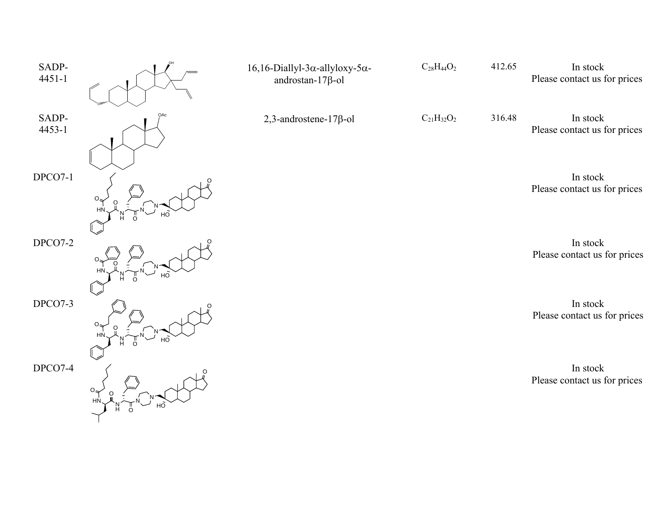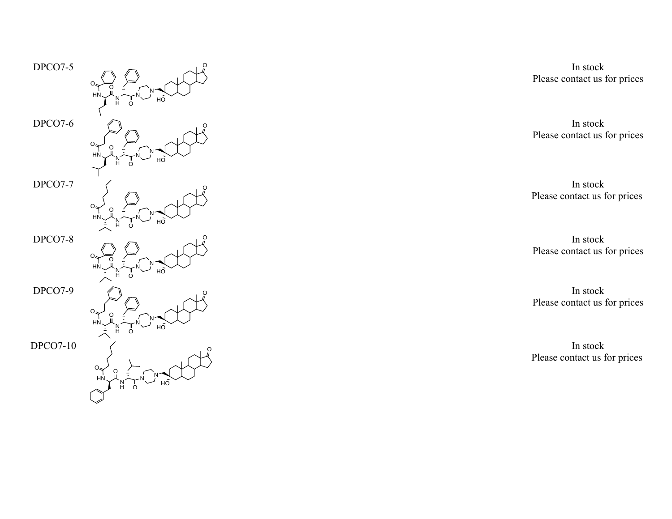

In stock Please contact us for prices

In stock Please contact us for prices

In stock Please contact us for prices

In stock Please contact us for prices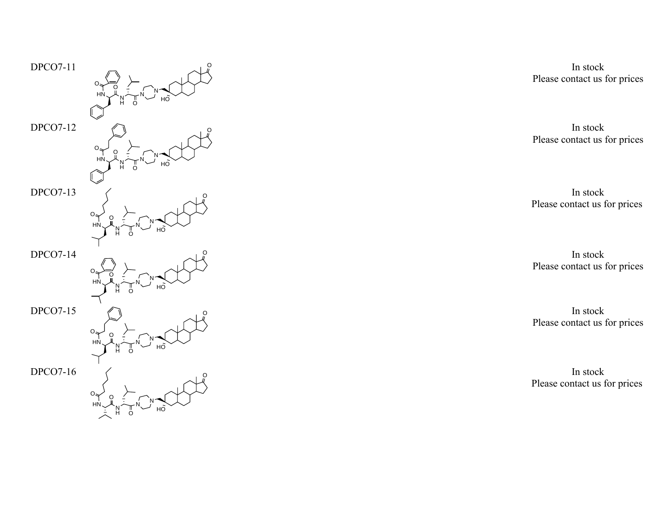

In stock Please contact us for prices

In stock Please contact us for prices

In stock Please contact us for prices

In stock Please contact us for prices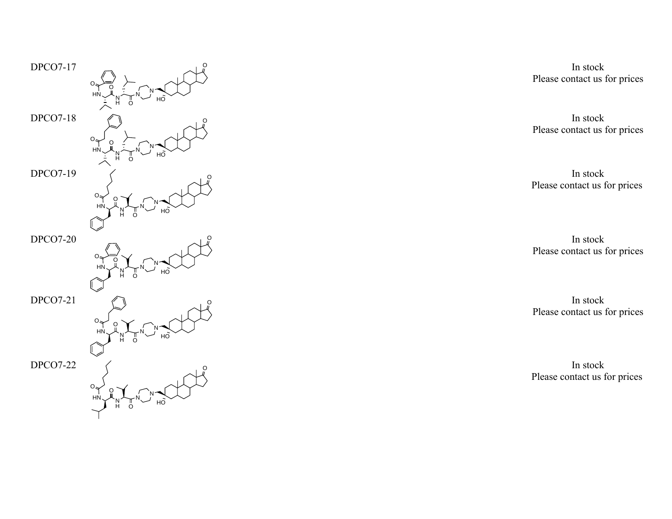

In stock Please contact us for prices

In stock Please contact us for prices

In stock Please contact us for prices

In stock Please contact us for prices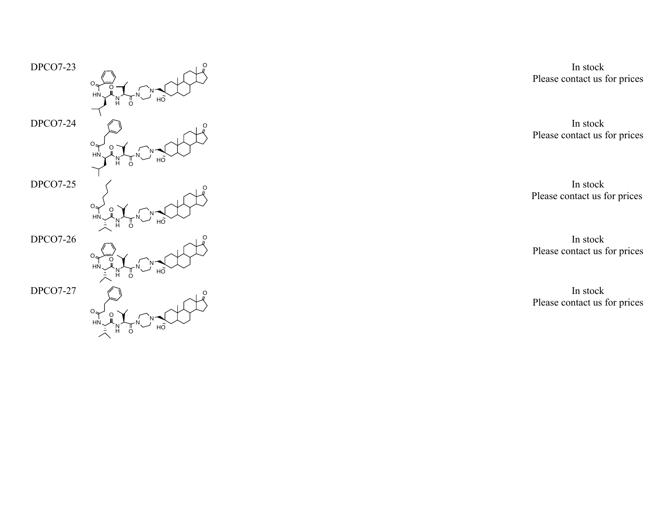

In stock Please contact us for prices

In stock Please contact us for prices

In stock Please contact us for prices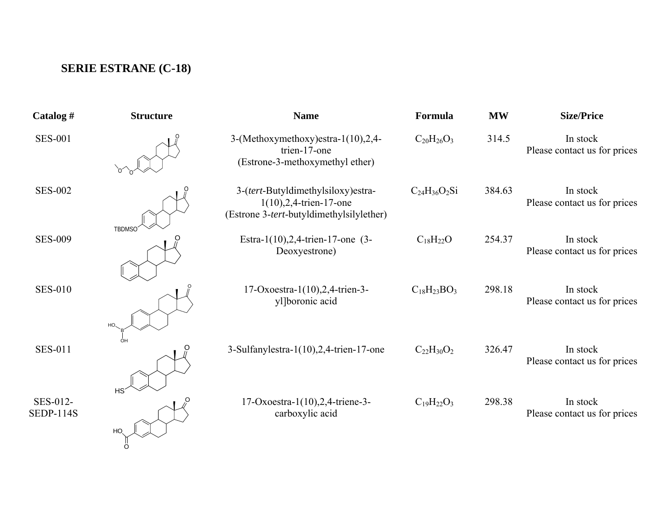## **SERIE ESTRANE (C-18)**

| Catalog #                    | <b>Structure</b> | <b>Name</b>                                                                                                   | Formula             | <b>MW</b> | <b>Size/Price</b>                        |
|------------------------------|------------------|---------------------------------------------------------------------------------------------------------------|---------------------|-----------|------------------------------------------|
| <b>SES-001</b>               |                  | 3-(Methoxymethoxy) estra-1(10), 2, 4-<br>trien-17-one<br>(Estrone-3-methoxymethyl ether)                      | $C_{20}H_{26}O_3$   | 314.5     | In stock<br>Please contact us for prices |
| <b>SES-002</b>               | <b>TBDMSC</b>    | 3-(tert-Butyldimethylsiloxy)estra-<br>$1(10), 2, 4$ -trien-17-one<br>(Estrone 3-tert-butyldimethylsilylether) | $C_{24}H_{36}O_2Si$ | 384.63    | In stock<br>Please contact us for prices |
| <b>SES-009</b>               |                  | Estra-1(10), 2, 4-trien-17-one $(3-$<br>Deoxyestrone)                                                         | $C_{18}H_{22}O$     | 254.37    | In stock<br>Please contact us for prices |
| <b>SES-010</b>               |                  | 17-Oxoestra-1(10), 2, 4-trien-3-<br>yl]boronic acid                                                           | $C_{18}H_{23}BO_3$  | 298.18    | In stock<br>Please contact us for prices |
| <b>SES-011</b>               |                  | 3-Sulfanylestra- $1(10)$ , 2, 4-trien-17-one                                                                  | $C_{22}H_{30}O_2$   | 326.47    | In stock<br>Please contact us for prices |
| SES-012-<br><b>SEDP-114S</b> | HS<br>HO.        | 17-Oxoestra-1(10), 2, 4-triene-3-<br>carboxylic acid                                                          | $C_{19}H_{22}O_3$   | 298.38    | In stock<br>Please contact us for prices |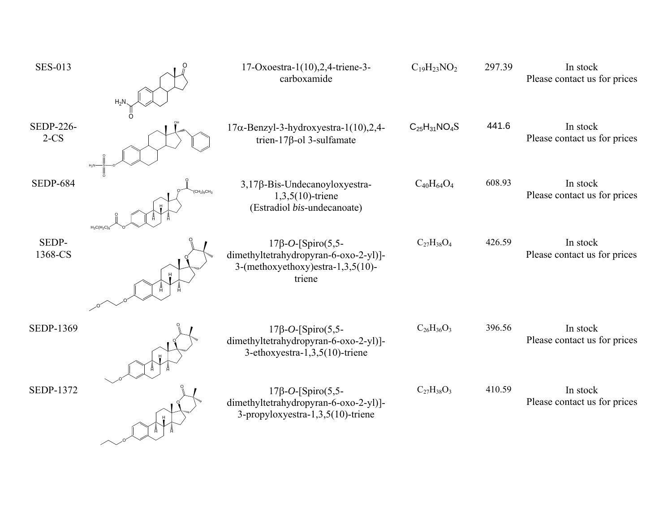| <b>SES-013</b>             | $H_2$        | 17-Oxoestra-1(10), 2, 4-triene-3-<br>carboxamide                                                                   | $C_{19}H_{23}NO_2$  | 297.39 | In stock<br>Please contact us for prices |
|----------------------------|--------------|--------------------------------------------------------------------------------------------------------------------|---------------------|--------|------------------------------------------|
| <b>SEDP-226-</b><br>$2-CS$ |              | $17\alpha$ -Benzyl-3-hydroxyestra-1(10),2,4-<br>trien-17 $\beta$ -ol 3-sulfamate                                   | $C_{25}H_{31}NO_4S$ | 441.6  | In stock<br>Please contact us for prices |
| <b>SEDP-684</b>            | $H_3C(H_2C)$ | 3,17β-Bis-Undecanoyloxyestra-<br>$1,3,5(10)$ -triene<br>(Estradiol bis-undecanoate)                                | $C_{40}H_{64}O_4$   | 608.93 | In stock<br>Please contact us for prices |
| SEDP-<br>1368-CS           |              | $17\beta - O$ -[Spiro(5,5-<br>dimethyltetrahydropyran-6-oxo-2-yl)]-<br>3-(methoxyethoxy)estra-1,3,5(10)-<br>triene | $C_{27}H_{38}O_4$   | 426.59 | In stock<br>Please contact us for prices |
| <b>SEDP-1369</b>           |              | $17\beta - O$ -[Spiro(5,5-<br>dimethyltetrahydropyran-6-oxo-2-yl)]-<br>3-ethoxyestra-1,3,5(10)-triene              | $C_{26}H_{36}O_3$   | 396.56 | In stock<br>Please contact us for prices |
| <b>SEDP-1372</b>           |              | $17\beta - O$ -[Spiro(5,5-<br>dimethyltetrahydropyran-6-oxo-2-yl)]-<br>3-propyloxyestra-1,3,5(10)-triene           | $C_{27}H_{38}O_3$   | 410.59 | In stock<br>Please contact us for prices |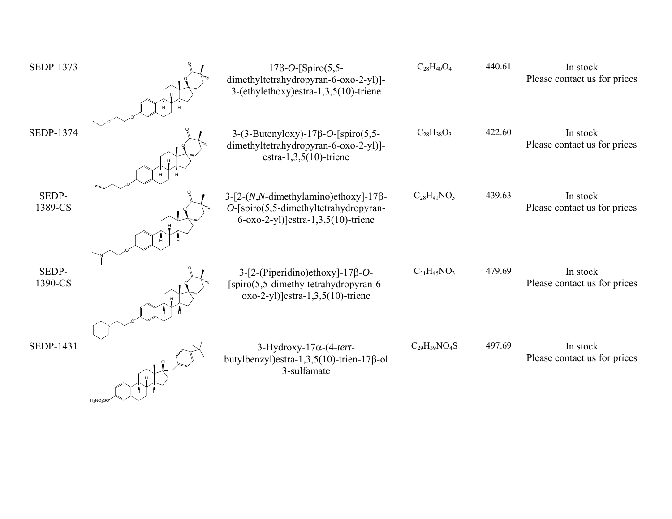| SEDP-1373        | $17\beta - O$ -[Spiro(5,5-<br>dimethyltetrahydropyran-6-oxo-2-yl)]-<br>3-(ethylethoxy) estra-1,3,5(10)-triene                       | $C_{28}H_{40}O_4$   | 440.61 | In stock<br>Please contact us for prices |
|------------------|-------------------------------------------------------------------------------------------------------------------------------------|---------------------|--------|------------------------------------------|
| SEDP-1374        | $3-(3-Butenyboxy) - 17\beta - O$ -[spiro(5,5-<br>dimethyltetrahydropyran-6-oxo-2-yl)]-<br>estra-1,3,5 $(10)$ -triene                | $C_{28}H_{38}O_3$   | 422.60 | In stock<br>Please contact us for prices |
| SEDP-<br>1389-CS | $3-[2-(N,N$ -dimethylamino)ethoxy]-17β-<br>$O$ -[spiro(5,5-dimethyltetrahydropyran-<br>$6-\alpha x_0-2-yl$ ) estra-1,3,5(10)-triene | $C_{28}H_{41}NO_3$  | 439.63 | In stock<br>Please contact us for prices |
| SEDP-<br>1390-CS | $3-[2-(Piperidino)ethoxy]-17\beta-O-$<br>[spiro(5,5-dimethyltetrahydropyran-6-<br>$\alpha$ xo-2-yl)]estra-1,3,5(10)-triene          | $C_{31}H_{45}NO_3$  | 479.69 | In stock<br>Please contact us for prices |
| SEDP-1431        | $3-Hydroxy-17\alpha-(4-tert-$<br>butylbenzyl) estra-1,3,5(10)-trien-17 $\beta$ -ol<br>3-sulfamate                                   | $C_{29}H_{39}NO_4S$ | 497.69 | In stock<br>Please contact us for prices |

 $_{\rm H_2}$ NO $_{\rm 2}$ SO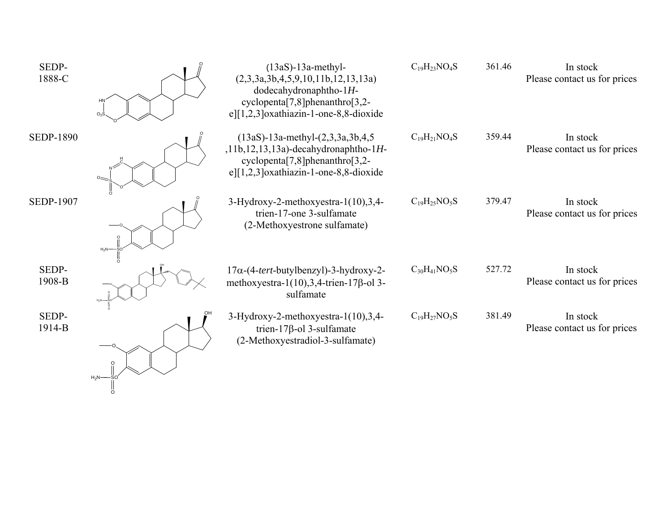| SEDP-<br>1888-C  | $O2$ $S$            | $(13aS)-13a$ -methyl-<br>(2,3,3a,3b,4,5,9,10,11b,12,13,13a)<br>dodecahydronaphtho- $1H$ -<br>cyclopenta $[7,8]$ phenanthro $[3,2-$<br>$e$ ][1,2,3] oxathiazin-1-one-8,8-dioxide                     | $C_{19}H_{23}NO_4S$ | 361.46 | In stock<br>Please contact us for prices |
|------------------|---------------------|-----------------------------------------------------------------------------------------------------------------------------------------------------------------------------------------------------|---------------------|--------|------------------------------------------|
| <b>SEDP-1890</b> |                     | $(13aS) - 13a$ -methyl- $(2,3,3a,3b,4,5)$<br>$, 11b, 12, 13, 13a$ )-decahydronaphtho-1H-<br>cyclopenta <sup>[7,8]</sup> phenanthro <sup>[3,2-1</sup> ]<br>$e$ ][1,2,3] oxathiazin-1-one-8,8-dioxide | $C_{19}H_{21}NO_4S$ | 359.44 | In stock<br>Please contact us for prices |
| <b>SEDP-1907</b> | $H_2N-$             | $3-Hydroxy-2-methoxyestra-1(10),3,4-$<br>trien-17-one 3-sulfamate<br>(2-Methoxyestrone sulfamate)                                                                                                   | $C_{19}H_{25}NO_5S$ | 379.47 | In stock<br>Please contact us for prices |
| SEDP-<br>1908-B  |                     | $17\alpha$ -(4-tert-butylbenzyl)-3-hydroxy-2-<br>methoxyestra-1(10), 3, 4-trien-17 $\beta$ -ol 3-<br>sulfamate                                                                                      | $C_{30}H_{41}NO_5S$ | 527.72 | In stock<br>Please contact us for prices |
| SEDP-<br>1914-B  | O<br>$H_2N-$<br>-SO | $3-Hydroxy-2-methoxyestra-1(10),3,4-$<br>trien-17 $\beta$ -ol 3-sulfamate<br>(2-Methoxyestradiol-3-sulfamate)                                                                                       | $C_{19}H_{27}NO_5S$ | 381.49 | In stock<br>Please contact us for prices |

O